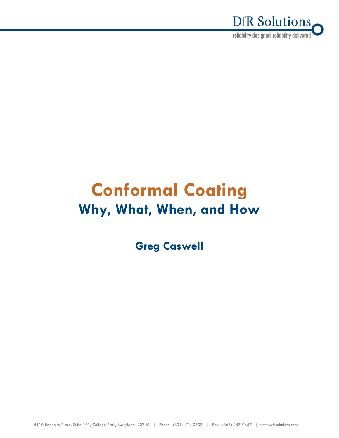

# **Conformal Coating Why, What, When, and How**

**Greg Caswell**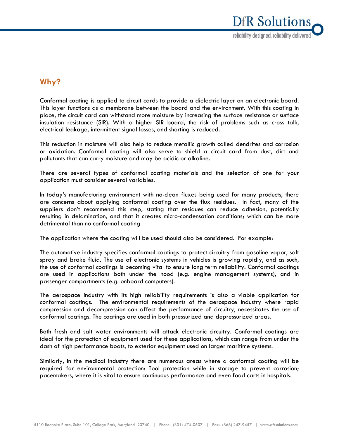

# **Why?**

Conformal coating is applied to circuit cards to provide a dielectric layer on an electronic board. This layer functions as a membrane between the board and the environment. With this coating in place, the circuit card can withstand more moisture by increasing the surface resistance or surface insulation resistance (SIR). With a higher SIR board, the risk of problems such as cross talk, electrical leakage, intermittent signal losses, and shorting is reduced.

This reduction in moisture will also help to reduce metallic growth called dendrites and corrosion or oxidation. Conformal coating will also serve to shield a circuit card from dust, dirt and pollutants that can carry moisture and may be acidic or alkaline.

There are several types of conformal coating materials and the selection of one for your application must consider several variables.

In today's manufacturing environment with no-clean fluxes being used for many products, there are concerns about applying conformal coating over the flux residues. In fact, many of the suppliers don't recommend this step, stating that residues can reduce adhesion, potentially resulting in delamination, and that it creates micro-condensation conditions; which can be more detrimental than no conformal coating

The application where the coating will be used should also be considered. For example:

The automotive industry specifies conformal coatings to protect circuitry from gasoline vapor, salt spray and brake fluid. The use of electronic systems in vehicles is growing rapidly, and as such, the use of conformal coatings is becoming vital to ensure long term reliability. Conformal coatings are used in applications both under the hood (e.g. engine management systems), and in passenger compartments (e.g. onboard computers).

The aerospace industry with its high reliability requirements is also a viable application for conformal coatings. The environmental requirements of the aerospace industry where rapid compression and decompression can affect the performance of circuitry, necessitates the use of conformal coatings. The coatings are used in both pressurized and depressurized areas.

Both fresh and salt water environments will attack electronic circuitry. Conformal coatings are ideal for the protection of equipment used for these applications, which can range from under the dash of high performance boats, to exterior equipment used on larger maritime systems.

Similarly, in the medical industry there are numerous areas where a conformal coating will be required for environmental protection: Tool protection while in storage to prevent corrosion; pacemakers, where it is vital to ensure continuous performance and even food carts in hospitals.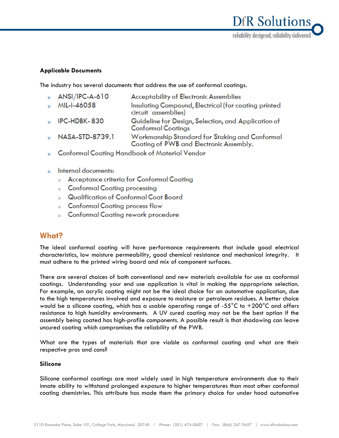

# **Applicable Documents**

The industry has several documents that address the use of conformal coatings.

- **Acceptability of Electronic Assemblies ANSI/IPC-A-610**  $\sim$ 
	- MIL-I-46058 Insulating Compound, Electrical (for coating printed circuit assemblies)
- IPC-HDBK-830 Guideline for Design, Selection, and Application of  $\sim$ **Conformal Coatings**
- NASA-STD-8739.1 Workmanship Standard for Staking and Conformal  $\mathbf{a}$ Coating of PWB and Electronic Assembly.
- **Conformal Coating Handbook of Material Vendor** ö
- Internal documents:  $\overline{a}$ 
	- Acceptance criteria for Conformal Coating
	- **Conformal Coating processing**
	- **Qualification of Conformal Coat Board**
	- **Conformal Coating process flow**
	- **Conformal Coating rework procedure**  $\sim$

# **What?**

 $\sim$ 

The ideal conformal coating will have performance requirements that include good electrical characteristics, low moisture permeability, good chemical resistance and mechanical integrity. It must adhere to the printed wiring board and mix of component surfaces.

There are several choices of both conventional and new materials available for use as conformal coatings. Understanding your end use application is vital in making the appropriate selection. For example, an acrylic coating might not be the ideal choice for an automotive application, due to the high temperatures involved and exposure to moisture or petroleum residues. A better choice would be a silicone coating, which has a usable operating range of -55 $^{\circ}$ C to +200 $^{\circ}$ C and offers resistance to high humidity environments. A UV cured coating may not be the best option if the assembly being coated has high-profile components. A possible result is that shadowing can leave uncured coating which compromises the reliability of the PWB.

What are the types of materials that are viable as conformal coating and what are their respective pros and cons?

# **Silicone**

Silicone conformal coatings are most widely used in high temperature environments due to their innate ability to withstand prolonged exposure to higher temperatures than most other conformal coating chemistries. This attribute has made them the primary choice for under hood automotive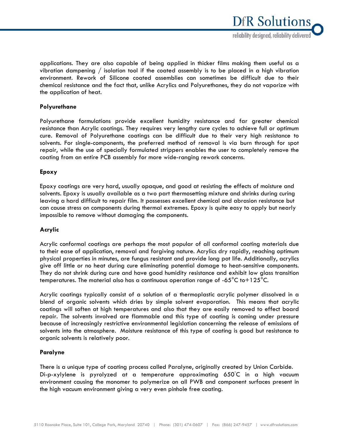applications. They are also capable of being applied in thicker films making them useful as a vibration dampening / isolation tool if the coated assembly is to be placed in a high vibration environment. Rework of Silicone coated assemblies can sometimes be difficult due to their chemical resistance and the fact that, unlike Acrylics and Polyurethanes, they do not vaporize with the application of heat.

# **Polyurethane**

Polyurethane formulations provide excellent humidity resistance and far greater chemical resistance than Acrylic coatings. They requires very lengthy cure cycles to achieve full or optimum cure. Removal of Polyurethane coatings can be difficult due to their very high resistance to solvents. For single-components, the preferred method of removal is via burn through for spot repair, while the use of specially formulated strippers enables the user to completely remove the coating from an entire PCB assembly for more wide-ranging rework concerns.

# **Epoxy**

Epoxy coatings are very hard, usually opaque, and good at resisting the effects of moisture and solvents. Epoxy is usually available as a two part thermosetting mixture and shrinks during curing leaving a hard difficult to repair film. It possesses excellent chemical and abrasion resistance but can cause stress on components during thermal extremes. Epoxy is quite easy to apply but nearly impossible to remove without damaging the components.

# **Acrylic**

Acrylic conformal coatings are perhaps the most popular of all conformal coating materials due to their ease of application, removal and forgiving nature. Acrylics dry rapidly, reaching optimum physical properties in minutes, are fungus resistant and provide long pot life. Additionally, acrylics give off little or no heat during cure eliminating potential damage to heat-sensitive components. They do not shrink during cure and have good humidity resistance and exhibit low glass transition temperatures. The material also has a continuous operation range of  $-65^{\circ}$ C to + 125 $^{\circ}$ C.

Acrylic coatings typically consist of a solution of a thermoplastic acrylic polymer dissolved in a blend of organic solvents which dries by simple solvent evaporation. This means that acrylic coatings will soften at high temperatures and also that they are easily removed to effect board repair. The solvents involved are flammable and this type of coating is coming under pressure because of increasingly restrictive environmental legislation concerning the release of emissions of solvents into the atmosphere. Moisture resistance of this type of coating is good but resistance to organic solvents is relatively poor.

# **Paralyne**

There is a unique type of coating process called Paralyne, originally created by Union Carbide. Di-p-xylylene is pyrolyzed at a temperature approximating 650◦ C in a high vacuum environment causing the monomer to polymerize on all PWB and component surfaces present in the high vacuum environment giving a very even pinhole free coating.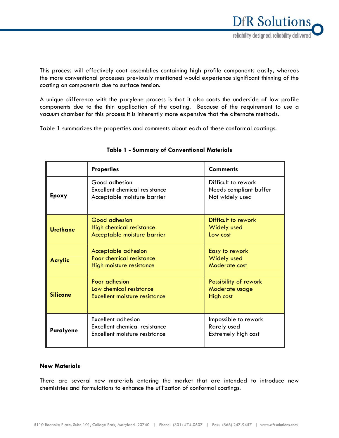This process will effectively coat assemblies containing high profile components easily, whereas the more conventional processes previously mentioned would experience significant thinning of the coating on components due to surface tension.

A unique difference with the parylene process is that it also coats the underside of low profile components due to the thin application of the coating. Because of the requirement to use a vacuum chamber for this process it is inherently more expensive that the alternate methods.

Table 1 summarizes the properties and comments about each of these conformal coatings.

|                 | <b>Properties</b>                                                                           | <b>Comments</b>                                                  |
|-----------------|---------------------------------------------------------------------------------------------|------------------------------------------------------------------|
| Epoxy           | Good adhesion<br>Excellent chemical resistance<br>Acceptable moisture barrier               | Difficult to rework<br>Needs compliant buffer<br>Not widely used |
| <b>Urethane</b> | <b>Good adhesion</b><br>High chemical resistance<br>Acceptable moisture barrier             | Difficult to rework<br><b>Widely used</b><br>Low cost            |
| <b>Acrylic</b>  | Acceptable adhesion<br>Poor chemical resistance<br>High moisture resistance                 | Easy to rework<br><b>Widely used</b><br>Moderate cost            |
| <b>Silicone</b> | Poor adhesion<br>Low chemical resistance<br>Excellent moisture resistance                   | Possibility of rework<br>Moderate usage<br>High cost             |
| Paralyene       | <b>Excellent adhesion</b><br>Excellent chemical resistance<br>Excellent moisture resistance | Impossible to rework<br>Rarely used<br>Extremely high cost       |

# **Table 1 - Summary of Conventional Materials**

# **New Materials**

There are several new materials entering the market that are intended to introduce new chemistries and formulations to enhance the utilization of conformal coatings.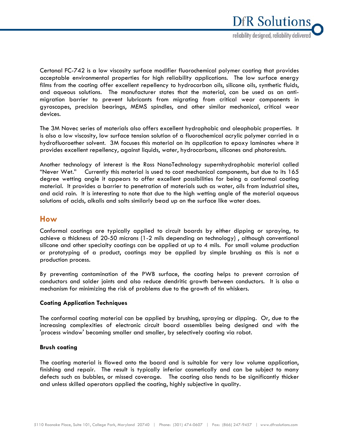

Certonal FC-742 is a low viscosity surface modifier fluorochemical polymer coating that provides acceptable environmental properties for high reliability applications. The low surface energy films from the coating offer excellent repellency to hydrocarbon oils, silicone oils, synthetic fluids, and aqueous solutions. The manufacturer states that the material, can be used as an antimigration barrier to prevent lubricants from migrating from critical wear components in gyroscopes, precision bearings, MEMS spindles, and other similar mechanical, critical wear devices.

The 3M Novec series of materials also offers excellent hydrophobic and oleophobic properties. It is also a low viscosity, low surface tension solution of a fluorochemical acrylic polymer carried in a hydrofluoroether solvent. 3M focuses this material on its application to epoxy laminates where it provides excellent repellency, against liquids, water, hydrocarbons, silicones and photoresists.

Another technology of interest is the Ross NanoTechnology supernhydrophobic material called "Never Wet." Currently this material is used to coat mechanical components, but due to its 165 degree wetting angle it appears to offer excellent possibilities for being a conformal coating material. It provides a barrier to penetration of materials such as water, oils from industrial sites, and acid rain. It is interesting to note that due to the high wetting angle of the material aqueous solutions of acids, alkalis and salts similarly bead up on the surface like water does.

# **How**

Conformal coatings are typically applied to circuit boards by either dipping or spraying, to achieve a thickness of 20-50 microns (1-2 mils depending on technology) , although conventional silicone and other specialty coatings can be applied at up to 4 mils. For small volume production or prototyping of a product, coatings may be applied by simple brushing as this is not a production process.

By preventing contamination of the PWB surface, the coating helps to prevent corrosion of conductors and solder joints and also reduce dendritic growth between conductors. It is also a mechanism for minimizing the risk of problems due to the growth of tin whiskers.

# **Coating Application Techniques**

The conformal coating material can be applied by brushing, spraying or dipping. Or, due to the increasing complexities of electronic circuit board assemblies being designed and with the 'process window' becoming smaller and smaller, by selectively coating via robot.

# **Brush coating**

The coating material is flowed onto the board and is suitable for very low volume application, finishing and repair. The result is typically inferior cosmetically and can be subject to many defects such as bubbles, or missed coverage. The coating also tends to be significantly thicker and unless skilled operators applied the coating, highly subjective in quality.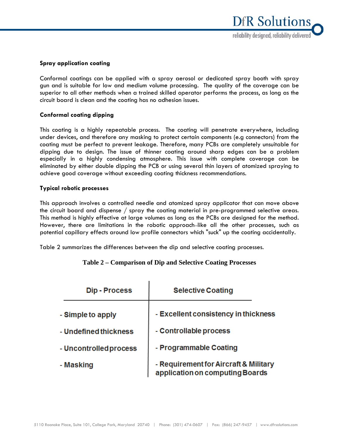

# **Spray application coating**

Conformal coatings can be applied with a spray aerosol or dedicated spray booth with spray gun and is suitable for low and medium volume processing. The quality of the coverage can be superior to all other methods when a trained skilled operator performs the process, as long as the circuit board is clean and the coating has no adhesion issues.

# **Conformal coating dipping**

This coating is a highly repeatable process. The coating will penetrate everywhere, including under devices, and therefore any masking to protect certain components (e.g connectors) from the coating must be perfect to prevent leakage. Therefore, many PCBs are completely unsuitable for dipping due to design. The issue of thinner coating around sharp edges can be a problem especially in a highly condensing atmosphere. This issue with complete coverage can be eliminated by either double dipping the PCB or using several thin layers of atomized spraying to achieve good coverage without exceeding coating thickness recommendations.

#### **Typical robotic processes**

This approach involves a controlled needle and atomized spray applicator that can move above the circuit board and dispense / spray the coating material in pre-programmed selective areas. This method is highly effective at large volumes as long as the PCBs are designed for the method. However, there are limitations in the robotic approach like all the other processes, such as potential capillary effects around low profile connectors which "suck" up the coating accidentally.

Table 2 summarizes the differences between the dip and selective coating processes.

# **Table 2 – Comparison of Dip and Selective Coating Processes**

| <b>Dip - Process</b>   | <b>Selective Coating</b>                                                 |
|------------------------|--------------------------------------------------------------------------|
| - Simple to apply      | - Excellent consistency in thickness                                     |
| - Undefined thickness  | - Controllable process                                                   |
| - Uncontrolled process | - Programmable Coating                                                   |
| - Masking              | - Requirement for Aircraft & Military<br>application on computing Boards |